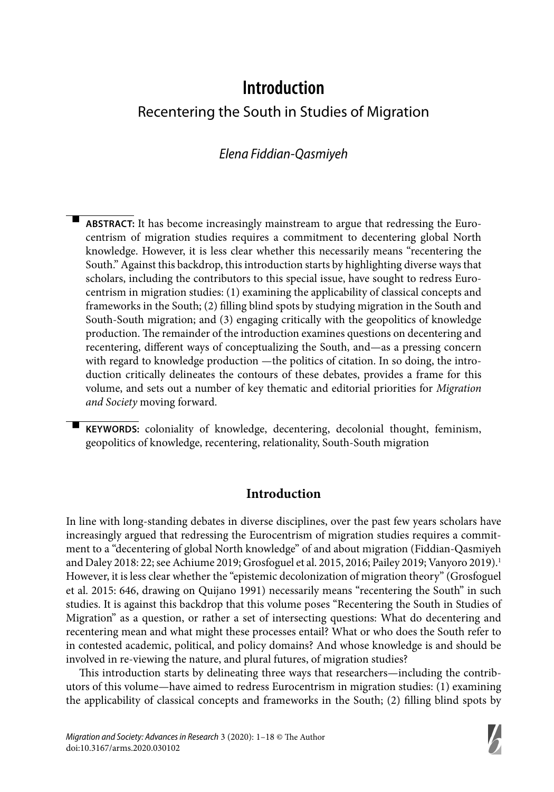# **Introduction** Recentering the South in Studies of Migration

## Elena Fiddian-Qasmiyeh

- **ABSTRACT:** It has become increasingly mainstream to argue that redressing the Eurocentrism of migration studies requires a commitment to decentering global North knowledge. However, it is less clear whether this necessarily means "recentering the South." Against this backdrop, this introduction starts by highlighting diverse ways that scholars, including the contributors to this special issue, have sought to redress Eurocentrism in migration studies: (1) examining the applicability of classical concepts and frameworks in the South; (2) filling blind spots by studying migration in the South and South-South migration; and (3) engaging critically with the geopolitics of knowledge production. The remainder of the introduction examines questions on decentering and recentering, different ways of conceptualizing the South, and—as a pressing concern with regard to knowledge production —the politics of citation. In so doing, the introduction critically delineates the contours of these debates, provides a frame for this volume, and sets out a number of key thematic and editorial priorities for *Migration and Society* moving forward.

 **KEYWORDS:** coloniality of knowledge, decentering, decolonial thought, feminism, geopolitics of knowledge, recentering, relationality, South-South migration

## **Introduction**

In line with long-standing debates in diverse disciplines, over the past few years scholars have increasingly argued that redressing the Eurocentrism of migration studies requires a commitment to a "decentering of global North knowledge" of and about migration (Fiddian-Qasmiyeh and Daley 2018: 22; see Achiume 2019; Grosfoguel et al. 2015, 2016; Pailey 2019; Vanyoro 2019).<sup>1</sup> However, it is less clear whether the "epistemic decolonization of migration theory" (Grosfoguel et al. 2015: 646, drawing on Quijano 1991) necessarily means "recentering the South" in such studies. It is against this backdrop that this volume poses "Recentering the South in Studies of Migration" as a question, or rather a set of intersecting questions: What do decentering and recentering mean and what might these processes entail? What or who does the South refer to in contested academic, political, and policy domains? And whose knowledge is and should be involved in re-viewing the nature, and plural futures, of migration studies?

This introduction starts by delineating three ways that researchers—including the contributors of this volume—have aimed to redress Eurocentrism in migration studies: (1) examining the applicability of classical concepts and frameworks in the South;  $(2)$  filling blind spots by

-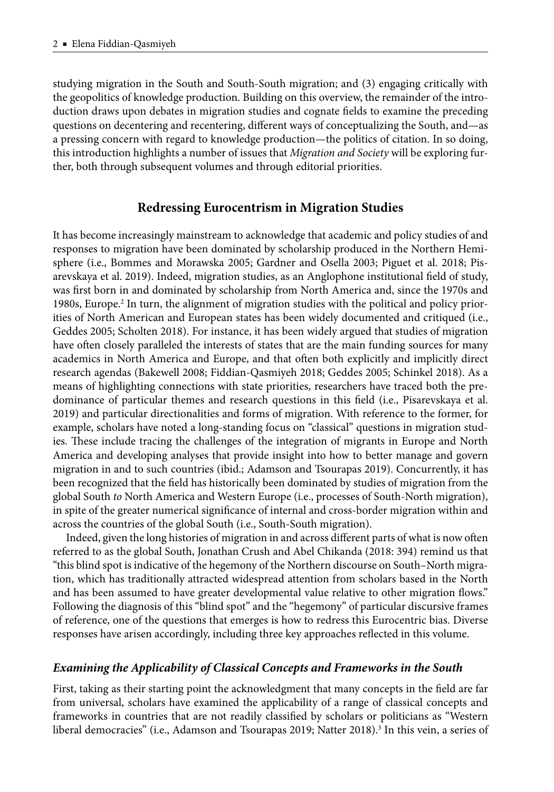studying migration in the South and South-South migration; and (3) engaging critically with the geopolitics of knowledge production. Building on this overview, the remainder of the introduction draws upon debates in migration studies and cognate fields to examine the preceding questions on decentering and recentering, different ways of conceptualizing the South, and—as a pressing concern with regard to knowledge production—the politics of citation. In so doing, this introduction highlights a number of issues that *Migration and Society* will be exploring further, both through subsequent volumes and through editorial priorities.

### **Redressing Eurocentrism in Migration Studies**

It has become increasingly mainstream to acknowledge that academic and policy studies of and responses to migration have been dominated by scholarship produced in the Northern Hemisphere (i.e., Bommes and Morawska 2005; Gardner and Osella 2003; Piguet et al. 2018; Pisarevskaya et al. 2019). Indeed, migration studies, as an Anglophone institutional field of study, was first born in and dominated by scholarship from North America and, since the 1970s and 1980s, Europe.<sup>2</sup> In turn, the alignment of migration studies with the political and policy priorities of North American and European states has been widely documented and critiqued (i.e., Geddes 2005; Scholten 2018). For instance, it has been widely argued that studies of migration have often closely paralleled the interests of states that are the main funding sources for many academics in North America and Europe, and that often both explicitly and implicitly direct research agendas (Bakewell 2008; Fiddian-Qasmiyeh 2018; Geddes 2005; Schinkel 2018). As a means of highlighting connections with state priorities, researchers have traced both the predominance of particular themes and research questions in this field (i.e., Pisarevskaya et al. 2019) and particular directionalities and forms of migration. With reference to the former, for example, scholars have noted a long-standing focus on "classical" questions in migration studies. These include tracing the challenges of the integration of migrants in Europe and North America and developing analyses that provide insight into how to better manage and govern migration in and to such countries (ibid.; Adamson and Tsourapas 2019). Concurrently, it has been recognized that the field has historically been dominated by studies of migration from the global South *to* North America and Western Europe (i.e., processes of South-North migration), in spite of the greater numerical significance of internal and cross-border migration within and across the countries of the global South (i.e., South-South migration).

Indeed, given the long histories of migration in and across different parts of what is now often referred to as the global South, Jonathan Crush and Abel Chikanda (2018: 394) remind us that "this blind spot is indicative of the hegemony of the Northern discourse on South–North migration, which has traditionally attracted widespread attention from scholars based in the North and has been assumed to have greater developmental value relative to other migration flows." Following the diagnosis of this "blind spot" and the "hegemony" of particular discursive frames of reference, one of the questions that emerges is how to redress this Eurocentric bias. Diverse responses have arisen accordingly, including three key approaches reflected in this volume.

### *Examining the Applicability of Classical Concepts and Frameworks in the South*

First, taking as their starting point the acknowledgment that many concepts in the field are far from universal, scholars have examined the applicability of a range of classical concepts and frameworks in countries that are not readily classified by scholars or politicians as "Western liberal democracies" (i.e., Adamson and Tsourapas 2019; Natter 2018).<sup>3</sup> In this vein, a series of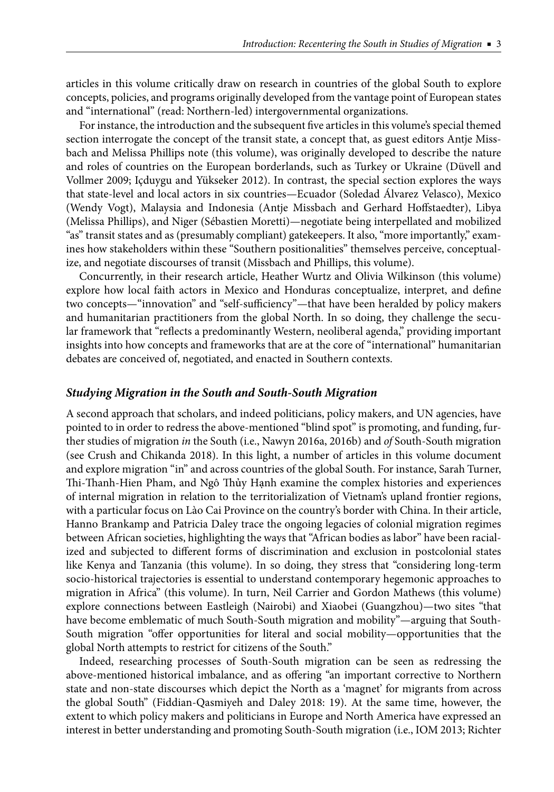articles in this volume critically draw on research in countries of the global South to explore concepts, policies, and programs originally developed from the vantage point of European states and "international" (read: Northern-led) intergovernmental organizations.

For instance, the introduction and the subsequent five articles in this volume's special themed section interrogate the concept of the transit state, a concept that, as guest editors Antje Missbach and Melissa Phillips note (this volume), was originally developed to describe the nature and roles of countries on the European borderlands, such as Turkey or Ukraine (Düvell and Vollmer 2009; Içduygu and Yükseker 2012). In contrast, the special section explores the ways that state-level and local actors in six countries—Ecuador (Soledad Álvarez Velasco), Mexico (Wendy Vogt), Malaysia and Indonesia (Antje Missbach and Gerhard Hoffstaedter), Libya (Melissa Phillips), and Niger (Sébastien Moretti)—negotiate being interpellated and mobilized "as" transit states and as (presumably compliant) gatekeepers. It also, "more importantly," examines how stakeholders within these "Southern positionalities" themselves perceive, conceptualize, and negotiate discourses of transit (Missbach and Phillips, this volume).

Concurrently, in their research article, Heather Wurtz and Olivia Wilkinson (this volume) explore how local faith actors in Mexico and Honduras conceptualize, interpret, and define two concepts—"innovation" and "self-sufficiency"—that have been heralded by policy makers and humanitarian practitioners from the global North. In so doing, they challenge the secular framework that "reflects a predominantly Western, neoliberal agenda," providing important insights into how concepts and frameworks that are at the core of "international" humanitarian debates are conceived of, negotiated, and enacted in Southern contexts.

#### *Studying Migration in the South and South-South Migration*

A second approach that scholars, and indeed politicians, policy makers, and UN agencies, have pointed to in order to redress the above-mentioned "blind spot" is promoting, and funding, further studies of migration *in* the South (i.e., Nawyn 2016a, 2016b) and *of* South-South migration (see Crush and Chikanda 2018). In this light, a number of articles in this volume document and explore migration "in" and across countries of the global South. For instance, Sarah Turner, Thi-Thanh-Hien Pham, and Ngô Thủy Hạnh examine the complex histories and experiences of internal migration in relation to the territorialization of Vietnam's upland frontier regions, with a particular focus on Lào Cai Province on the country's border with China. In their article, Hanno Brankamp and Patricia Daley trace the ongoing legacies of colonial migration regimes between African societies, highlighting the ways that "African bodies as labor" have been racialized and subjected to different forms of discrimination and exclusion in postcolonial states like Kenya and Tanzania (this volume). In so doing, they stress that "considering long-term socio-historical trajectories is essential to understand contemporary hegemonic approaches to migration in Africa" (this volume). In turn, Neil Carrier and Gordon Mathews (this volume) explore connections between Eastleigh (Nairobi) and Xiaobei (Guangzhou)—two sites "that have become emblematic of much South-South migration and mobility"—arguing that South-South migration "offer opportunities for literal and social mobility—opportunities that the global North attempts to restrict for citizens of the South."

Indeed, researching processes of South-South migration can be seen as redressing the above-mentioned historical imbalance, and as offering "an important corrective to Northern state and non-state discourses which depict the North as a 'magnet' for migrants from across the global South" (Fiddian-Qasmiyeh and Daley 2018: 19). At the same time, however, the extent to which policy makers and politicians in Europe and North America have expressed an interest in better understanding and promoting South-South migration (i.e., IOM 2013; Richter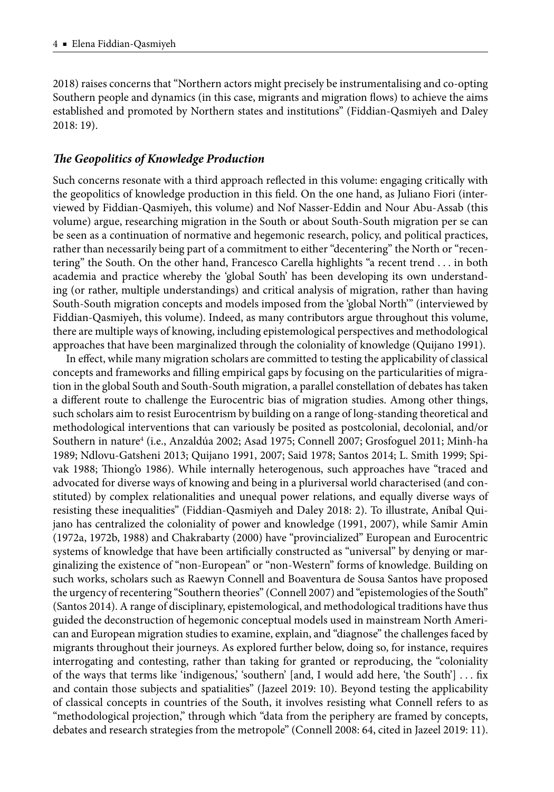2018) raises concerns that "Northern actors might precisely be instrumentalising and co-opting Southern people and dynamics (in this case, migrants and migration flows) to achieve the aims established and promoted by Northern states and institutions" (Fiddian-Qasmiyeh and Daley 2018: 19).

#### *Th e Geopolitics of Knowledge Production*

Such concerns resonate with a third approach reflected in this volume: engaging critically with the geopolitics of knowledge production in this field. On the one hand, as Juliano Fiori (interviewed by Fiddian-Qasmiyeh, this volume) and Nof Nasser-Eddin and Nour Abu-Assab (this volume) argue, researching migration in the South or about South-South migration per se can be seen as a continuation of normative and hegemonic research, policy, and political practices, rather than necessarily being part of a commitment to either "decentering" the North or "recentering" the South. On the other hand, Francesco Carella highlights "a recent trend . . . in both academia and practice whereby the 'global South' has been developing its own understanding (or rather, multiple understandings) and critical analysis of migration, rather than having South-South migration concepts and models imposed from the 'global North'" (interviewed by Fiddian-Qasmiyeh, this volume). Indeed, as many contributors argue throughout this volume, there are multiple ways of knowing, including epistemological perspectives and methodological approaches that have been marginalized through the coloniality of knowledge (Quijano 1991).

In effect, while many migration scholars are committed to testing the applicability of classical concepts and frameworks and filling empirical gaps by focusing on the particularities of migration in the global South and South-South migration, a parallel constellation of debates has taken a different route to challenge the Eurocentric bias of migration studies. Among other things, such scholars aim to resist Eurocentrism by building on a range of long-standing theoretical and methodological interventions that can variously be posited as postcolonial, decolonial, and/or Southern in nature<sup>4</sup> (i.e., Anzaldúa 2002; Asad 1975; Connell 2007; Grosfoguel 2011; Minh-ha 1989; Ndlovu-Gatsheni 2013; Quijano 1991, 2007; Said 1978; Santos 2014; L. Smith 1999; Spivak 1988; Thiong'o 1986). While internally heterogenous, such approaches have "traced and advocated for diverse ways of knowing and being in a pluriversal world characterised (and constituted) by complex relationalities and unequal power relations, and equally diverse ways of resisting these inequalities" (Fiddian-Qasmiyeh and Daley 2018: 2). To illustrate, Aníbal Quijano has centralized the coloniality of power and knowledge (1991, 2007), while Samir Amin (1972a, 1972b, 1988) and Chakrabarty (2000) have "provincialized" European and Eurocentric systems of knowledge that have been artificially constructed as "universal" by denying or marginalizing the existence of "non-European" or "non-Western" forms of knowledge. Building on such works, scholars such as Raewyn Connell and Boaventura de Sousa Santos have proposed the urgency of recentering "Southern theories" (Connell 2007) and "epistemologies of the South" (Santos 2014). A range of disciplinary, epistemological, and methodological traditions have thus guided the deconstruction of hegemonic conceptual models used in mainstream North American and European migration studies to examine, explain, and "diagnose" the challenges faced by migrants throughout their journeys. As explored further below, doing so, for instance, requires interrogating and contesting, rather than taking for granted or reproducing, the "coloniality of the ways that terms like 'indigenous,' 'southern' [and, I would add here, 'the South']  $\dots$  fix and contain those subjects and spatialities" (Jazeel 2019: 10). Beyond testing the applicability of classical concepts in countries of the South, it involves resisting what Connell refers to as "methodological projection," through which "data from the periphery are framed by concepts, debates and research strategies from the metropole" (Connell 2008: 64, cited in Jazeel 2019: 11).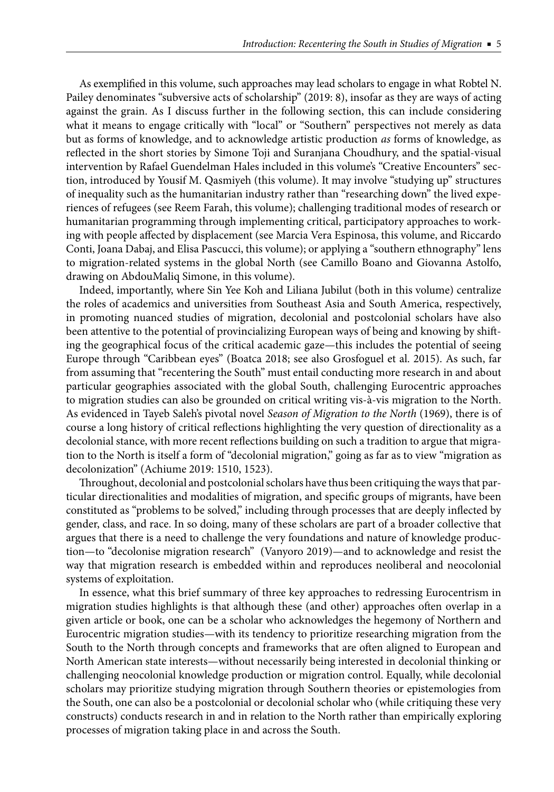As exemplified in this volume, such approaches may lead scholars to engage in what Robtel N. Pailey denominates "subversive acts of scholarship" (2019: 8), insofar as they are ways of acting against the grain. As I discuss further in the following section, this can include considering what it means to engage critically with "local" or "Southern" perspectives not merely as data but as forms of knowledge, and to acknowledge artistic production *as* forms of knowledge, as reflected in the short stories by Simone Toji and Suranjana Choudhury, and the spatial-visual intervention by Rafael Guendelman Hales included in this volume's "Creative Encounters" section, introduced by Yousif M. Qasmiyeh (this volume). It may involve "studying up" structures of inequality such as the humanitarian industry rather than "researching down" the lived experiences of refugees (see Reem Farah, this volume); challenging traditional modes of research or humanitarian programming through implementing critical, participatory approaches to working with people affected by displacement (see Marcia Vera Espinosa, this volume, and Riccardo Conti, Joana Dabaj, and Elisa Pascucci, this volume); or applying a "southern ethnography" lens to migration-related systems in the global North (see Camillo Boano and Giovanna Astolfo, drawing on AbdouMaliq Simone, in this volume).

Indeed, importantly, where Sin Yee Koh and Liliana Jubilut (both in this volume) centralize the roles of academics and universities from Southeast Asia and South America, respectively, in promoting nuanced studies of migration, decolonial and postcolonial scholars have also been attentive to the potential of provincializing European ways of being and knowing by shift ing the geographical focus of the critical academic gaze—this includes the potential of seeing Europe through "Caribbean eyes" (Boatca 2018; see also Grosfoguel et al. 2015). As such, far from assuming that "recentering the South" must entail conducting more research in and about particular geographies associated with the global South, challenging Eurocentric approaches to migration studies can also be grounded on critical writing vis-à-vis migration to the North. As evidenced in Tayeb Saleh's pivotal novel *Season of Migration to the North* (1969), there is of course a long history of critical reflections highlighting the very question of directionality as a decolonial stance, with more recent reflections building on such a tradition to argue that migration to the North is itself a form of "decolonial migration," going as far as to view "migration as decolonization" (Achiume 2019: 1510, 1523).

Throughout, decolonial and postcolonial scholars have thus been critiquing the ways that particular directionalities and modalities of migration, and specific groups of migrants, have been constituted as "problems to be solved," including through processes that are deeply inflected by gender, class, and race. In so doing, many of these scholars are part of a broader collective that argues that there is a need to challenge the very foundations and nature of knowledge production—to "decolonise migration research" (Vanyoro 2019)—and to acknowledge and resist the way that migration research is embedded within and reproduces neoliberal and neocolonial systems of exploitation.

In essence, what this brief summary of three key approaches to redressing Eurocentrism in migration studies highlights is that although these (and other) approaches often overlap in a given article or book, one can be a scholar who acknowledges the hegemony of Northern and Eurocentric migration studies—with its tendency to prioritize researching migration from the South to the North through concepts and frameworks that are often aligned to European and North American state interests—without necessarily being interested in decolonial thinking or challenging neocolonial knowledge production or migration control. Equally, while decolonial scholars may prioritize studying migration through Southern theories or epistemologies from the South, one can also be a postcolonial or decolonial scholar who (while critiquing these very constructs) conducts research in and in relation to the North rather than empirically exploring processes of migration taking place in and across the South.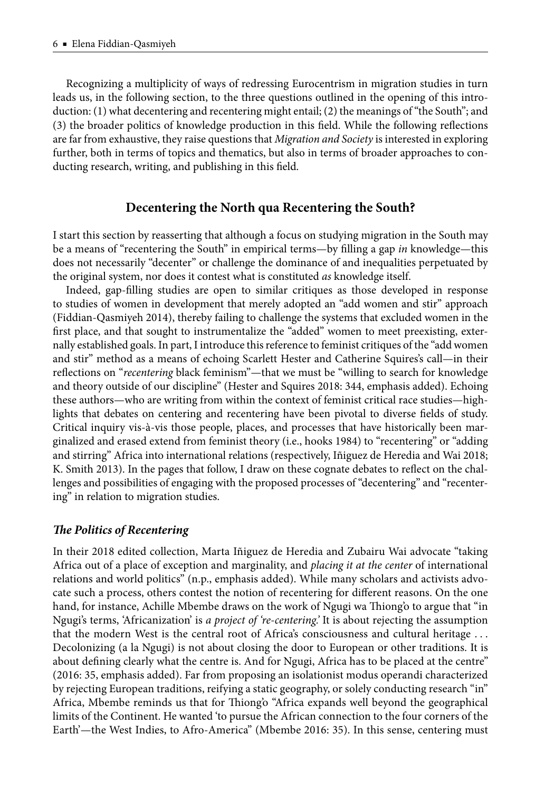Recognizing a multiplicity of ways of redressing Eurocentrism in migration studies in turn leads us, in the following section, to the three questions outlined in the opening of this introduction: (1) what decentering and recentering might entail; (2) the meanings of "the South"; and (3) the broader politics of knowledge production in this field. While the following reflections are far from exhaustive, they raise questions that *Migration and Society* is interested in exploring further, both in terms of topics and thematics, but also in terms of broader approaches to conducting research, writing, and publishing in this field.

### **Decentering the North qua Recentering the South?**

I start this section by reasserting that although a focus on studying migration in the South may be a means of "recentering the South" in empirical terms—by filling a gap *in* knowledge—this does not necessarily "decenter" or challenge the dominance of and inequalities perpetuated by the original system, nor does it contest what is constituted *as* knowledge itself.

Indeed, gap-filling studies are open to similar critiques as those developed in response to studies of women in development that merely adopted an "add women and stir" approach (Fiddian-Qasmiyeh 2014), thereby failing to challenge the systems that excluded women in the first place, and that sought to instrumentalize the "added" women to meet preexisting, externally established goals. In part, I introduce this reference to feminist critiques of the "add women and stir" method as a means of echoing Scarlett Hester and Catherine Squires's call—in their reflections on "*recentering* black feminism"—that we must be "willing to search for knowledge and theory outside of our discipline" (Hester and Squires 2018: 344, emphasis added). Echoing these authors—who are writing from within the context of feminist critical race studies—highlights that debates on centering and recentering have been pivotal to diverse fields of study. Critical inquiry vis-à-vis those people, places, and processes that have historically been marginalized and erased extend from feminist theory (i.e., hooks 1984) to "recentering" or "adding and stirring" Africa into international relations (respectively, Iñiguez de Heredia and Wai 2018; K. Smith 2013). In the pages that follow, I draw on these cognate debates to reflect on the challenges and possibilities of engaging with the proposed processes of "decentering" and "recentering" in relation to migration studies.

#### *Th e Politics of Recentering*

In their 2018 edited collection, Marta Iñiguez de Heredia and Zubairu Wai advocate "taking Africa out of a place of exception and marginality, and *placing it at the center* of international relations and world politics" (n.p., emphasis added). While many scholars and activists advocate such a process, others contest the notion of recentering for different reasons. On the one hand, for instance, Achille Mbembe draws on the work of Ngugi wa Thiong'o to argue that "in Ngugi's terms, 'Africanization' is *a project of 're-centering.'* It is about rejecting the assumption that the modern West is the central root of Africa's consciousness and cultural heritage . . . Decolonizing (a la Ngugi) is not about closing the door to European or other traditions. It is about defining clearly what the centre is. And for Ngugi, Africa has to be placed at the centre" (2016: 35, emphasis added). Far from proposing an isolationist modus operandi characterized by rejecting European traditions, reifying a static geography, or solely conducting research "in" Africa, Mbembe reminds us that for Thiong'o "Africa expands well beyond the geographical limits of the Continent. He wanted 'to pursue the African connection to the four corners of the Earth'—the West Indies, to Afro-America" (Mbembe 2016: 35). In this sense, centering must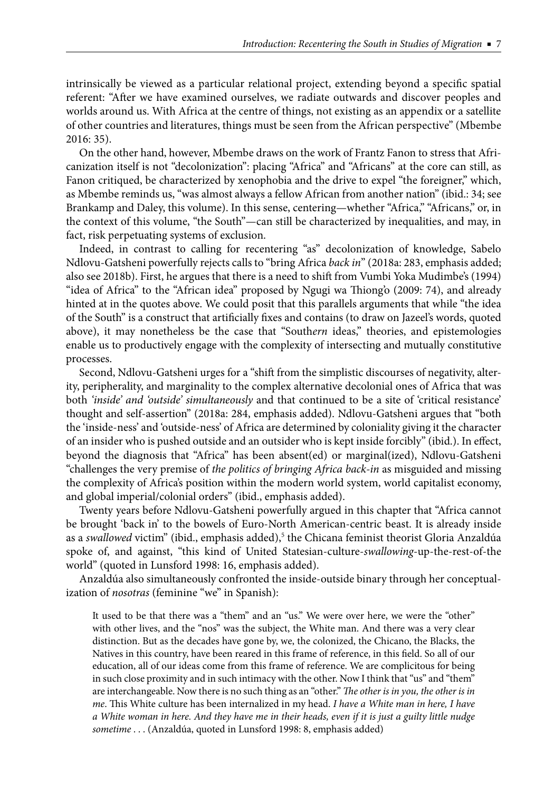intrinsically be viewed as a particular relational project, extending beyond a specific spatial referent: "After we have examined ourselves, we radiate outwards and discover peoples and worlds around us. With Africa at the centre of things, not existing as an appendix or a satellite of other countries and literatures, things must be seen from the African perspective" (Mbembe 2016: 35).

On the other hand, however, Mbembe draws on the work of Frantz Fanon to stress that Africanization itself is not "decolonization": placing "Africa" and "Africans" at the core can still, as Fanon critiqued, be characterized by xenophobia and the drive to expel "the foreigner," which, as Mbembe reminds us, "was almost always a fellow African from another nation" (ibid.: 34; see Brankamp and Daley, this volume). In this sense, centering—whether "Africa," "Africans," or, in the context of this volume, "the South"—can still be characterized by inequalities, and may, in fact, risk perpetuating systems of exclusion.

Indeed, in contrast to calling for recentering "as" decolonization of knowledge, Sabelo Ndlovu-Gatsheni powerfully rejects calls to "bring Africa *back in*" (2018a: 283, emphasis added; also see 2018b). First, he argues that there is a need to shift from Vumbi Yoka Mudimbe's (1994) "idea of Africa" to the "African idea" proposed by Ngugi wa Thiong'o (2009: 74), and already hinted at in the quotes above. We could posit that this parallels arguments that while "the idea of the South" is a construct that artificially fixes and contains (to draw on Jazeel's words, quoted above), it may nonetheless be the case that "South*ern* ideas," theories, and epistemologies enable us to productively engage with the complexity of intersecting and mutually constitutive processes.

Second, Ndlovu-Gatsheni urges for a "shift from the simplistic discourses of negativity, alterity, peripherality, and marginality to the complex alternative decolonial ones of Africa that was both *'inside' and 'outside' simultaneously* and that continued to be a site of 'critical resistance' thought and self-assertion" (2018a: 284, emphasis added). Ndlovu-Gatsheni argues that "both the 'inside-ness' and 'outside-ness' of Africa are determined by coloniality giving it the character of an insider who is pushed outside and an outsider who is kept inside forcibly" (ibid.). In effect, beyond the diagnosis that "Africa" has been absent(ed) or marginal(ized), Ndlovu-Gatsheni "challenges the very premise of *the politics of bringing Africa back-in* as misguided and missing the complexity of Africa's position within the modern world system, world capitalist economy, and global imperial/colonial orders" (ibid., emphasis added).

Twenty years before Ndlovu-Gatsheni powerfully argued in this chapter that "Africa cannot be brought 'back in' to the bowels of Euro-North American-centric beast. It is already inside as a *swallowed* victim" (ibid., emphasis added),<sup>5</sup> the Chicana feminist theorist Gloria Anzaldúa spoke of, and against, "this kind of United Statesian-culture-*swallowing*-up-the-rest-of-the world" (quoted in Lunsford 1998: 16, emphasis added).

Anzaldúa also simultaneously confronted the inside-outside binary through her conceptualization of *nosotras* (feminine "we" in Spanish):

It used to be that there was a "them" and an "us." We were over here, we were the "other" with other lives, and the "nos" was the subject, the White man. And there was a very clear distinction. But as the decades have gone by, we, the colonized, the Chicano, the Blacks, the Natives in this country, have been reared in this frame of reference, in this field. So all of our education, all of our ideas come from this frame of reference. We are complicitous for being in such close proximity and in such intimacy with the other. Now I think that "us" and "them" are interchangeable. Now there is no such thing as an "other." *The other is in you, the other is in me*. This White culture has been internalized in my head. *I have a White man in here*, *I have a White woman in here. And they have me in their heads, even if it is just a guilty little nudge sometime* . . . (Anzaldúa, quoted in Lunsford 1998: 8, emphasis added)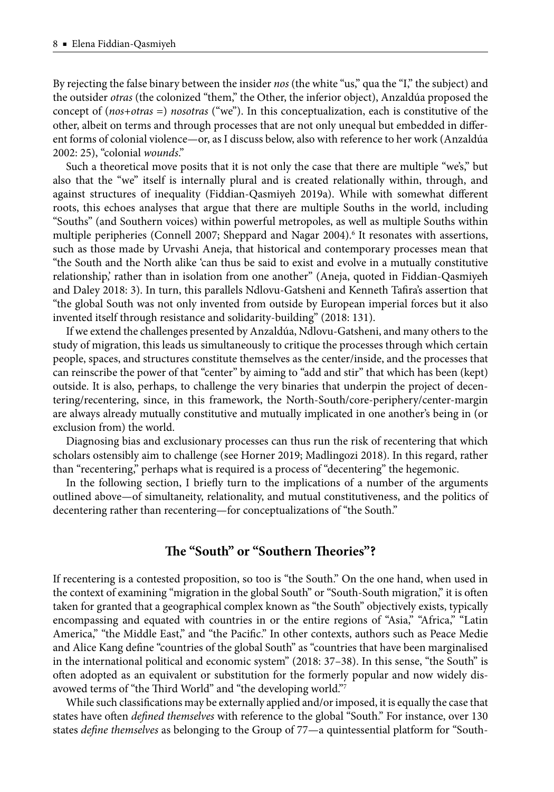By rejecting the false binary between the insider *nos* (the white "us," qua the "I," the subject) and the outsider *otras* (the colonized "them," the Other, the inferior object), Anzaldúa proposed the concept of (*nos*+*otras* =) *nosotras* ("we"). In this conceptualization, each is constitutive of the other, albeit on terms and through processes that are not only unequal but embedded in different forms of colonial violence—or, as I discuss below, also with reference to her work (Anzaldúa 2002: 25), "colonial *wounds*."

Such a theoretical move posits that it is not only the case that there are multiple "we's," but also that the "we" itself is internally plural and is created relationally within, through, and against structures of inequality (Fiddian-Qasmiyeh 2019a). While with somewhat different roots, this echoes analyses that argue that there are multiple Souths in the world, including "Souths" (and Southern voices) within powerful metropoles, as well as multiple Souths within multiple peripheries (Connell 2007; Sheppard and Nagar 2004).<sup>6</sup> It resonates with assertions, such as those made by Urvashi Aneja, that historical and contemporary processes mean that "the South and the North alike 'can thus be said to exist and evolve in a mutually constitutive relationship,' rather than in isolation from one another" (Aneja, quoted in Fiddian-Qasmiyeh and Daley 2018: 3). In turn, this parallels Ndlovu-Gatsheni and Kenneth Tafira's assertion that "the global South was not only invented from outside by European imperial forces but it also invented itself through resistance and solidarity-building" (2018: 131).

If we extend the challenges presented by Anzaldúa, Ndlovu-Gatsheni, and many others to the study of migration, this leads us simultaneously to critique the processes through which certain people, spaces, and structures constitute themselves as the center/inside, and the processes that can reinscribe the power of that "center" by aiming to "add and stir" that which has been (kept) outside. It is also, perhaps, to challenge the very binaries that underpin the project of decentering/recentering, since, in this framework, the North-South/core-periphery/center-margin are always already mutually constitutive and mutually implicated in one another's being in (or exclusion from) the world.

Diagnosing bias and exclusionary processes can thus run the risk of recentering that which scholars ostensibly aim to challenge (see Horner 2019; Madlingozi 2018). In this regard, rather than "recentering," perhaps what is required is a process of "decentering" the hegemonic.

In the following section, I briefly turn to the implications of a number of the arguments outlined above—of simultaneity, relationality, and mutual constitutiveness, and the politics of decentering rather than recentering—for conceptualizations of "the South."

## The "South" or "Southern Theories"?

If recentering is a contested proposition, so too is "the South." On the one hand, when used in the context of examining "migration in the global South" or "South-South migration," it is often taken for granted that a geographical complex known as "the South" objectively exists, typically encompassing and equated with countries in or the entire regions of "Asia," "Africa," "Latin America," "the Middle East," and "the Pacific." In other contexts, authors such as Peace Medie and Alice Kang define "countries of the global South" as "countries that have been marginalised in the international political and economic system" (2018: 37–38). In this sense, "the South" is often adopted as an equivalent or substitution for the formerly popular and now widely disavowed terms of "the Third World" and "the developing world."7

While such classifications may be externally applied and/or imposed, it is equally the case that states have often *defined themselves* with reference to the global "South." For instance, over 130 states *define themselves* as belonging to the Group of 77—a quintessential platform for "South-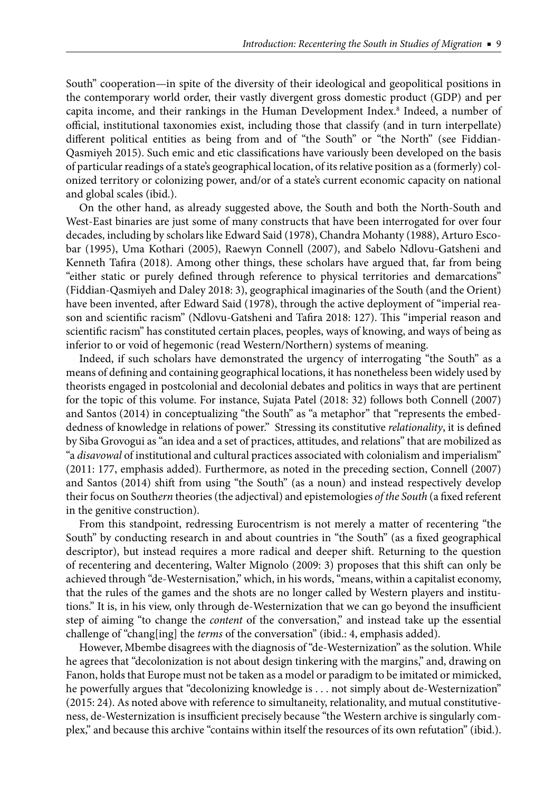South" cooperation—in spite of the diversity of their ideological and geopolitical positions in the contemporary world order, their vastly divergent gross domestic product (GDP) and per capita income, and their rankings in the Human Development Index.<sup>8</sup> Indeed, a number of official, institutional taxonomies exist, including those that classify (and in turn interpellate) different political entities as being from and of "the South" or "the North" (see Fiddian-Qasmiyeh 2015). Such emic and etic classifications have variously been developed on the basis of particular readings of a state's geographical location, of its relative position as a (formerly) colonized territory or colonizing power, and/or of a state's current economic capacity on national and global scales (ibid.).

On the other hand, as already suggested above, the South and both the North-South and West-East binaries are just some of many constructs that have been interrogated for over four decades, including by scholars like Edward Said (1978), Chandra Mohanty (1988), Arturo Escobar (1995), Uma Kothari (2005), Raewyn Connell (2007), and Sabelo Ndlovu-Gatsheni and Kenneth Tafira (2018). Among other things, these scholars have argued that, far from being "either static or purely defined through reference to physical territories and demarcations" (Fiddian-Qasmiyeh and Daley 2018: 3), geographical imaginaries of the South (and the Orient) have been invented, after Edward Said (1978), through the active deployment of "imperial reason and scientific racism" (Ndlovu-Gatsheni and Tafira 2018: 127). This "imperial reason and scientific racism" has constituted certain places, peoples, ways of knowing, and ways of being as inferior to or void of hegemonic (read Western/Northern) systems of meaning.

Indeed, if such scholars have demonstrated the urgency of interrogating "the South" as a means of defining and containing geographical locations, it has nonetheless been widely used by theorists engaged in postcolonial and decolonial debates and politics in ways that are pertinent for the topic of this volume. For instance, Sujata Patel (2018: 32) follows both Connell (2007) and Santos (2014) in conceptualizing "the South" as "a metaphor" that "represents the embeddedness of knowledge in relations of power." Stressing its constitutive *relationality*, it is defined by Siba Grovogui as "an idea and a set of practices, attitudes, and relations" that are mobilized as "a *disavowal* of institutional and cultural practices associated with colonialism and imperialism" (2011: 177, emphasis added). Furthermore, as noted in the preceding section, Connell (2007) and Santos (2014) shift from using "the South" (as a noun) and instead respectively develop their focus on Southern theories (the adjectival) and epistemologies of the South (a fixed referent in the genitive construction).

From this standpoint, redressing Eurocentrism is not merely a matter of recentering "the South" by conducting research in and about countries in "the South" (as a fixed geographical descriptor), but instead requires a more radical and deeper shift. Returning to the question of recentering and decentering, Walter Mignolo (2009: 3) proposes that this shift can only be achieved through "de-Westernisation," which, in his words, "means, within a capitalist economy, that the rules of the games and the shots are no longer called by Western players and institutions." It is, in his view, only through de-Westernization that we can go beyond the insufficient step of aiming "to change the *content* of the conversation," and instead take up the essential challenge of "chang[ing] the *terms* of the conversation" (ibid.: 4, emphasis added).

However, Mbembe disagrees with the diagnosis of "de-Westernization" as the solution. While he agrees that "decolonization is not about design tinkering with the margins," and, drawing on Fanon, holds that Europe must not be taken as a model or paradigm to be imitated or mimicked, he powerfully argues that "decolonizing knowledge is . . . not simply about de-Westernization" (2015: 24). As noted above with reference to simultaneity, relationality, and mutual constitutiveness, de-Westernization is insufficient precisely because "the Western archive is singularly complex," and because this archive "contains within itself the resources of its own refutation" (ibid.).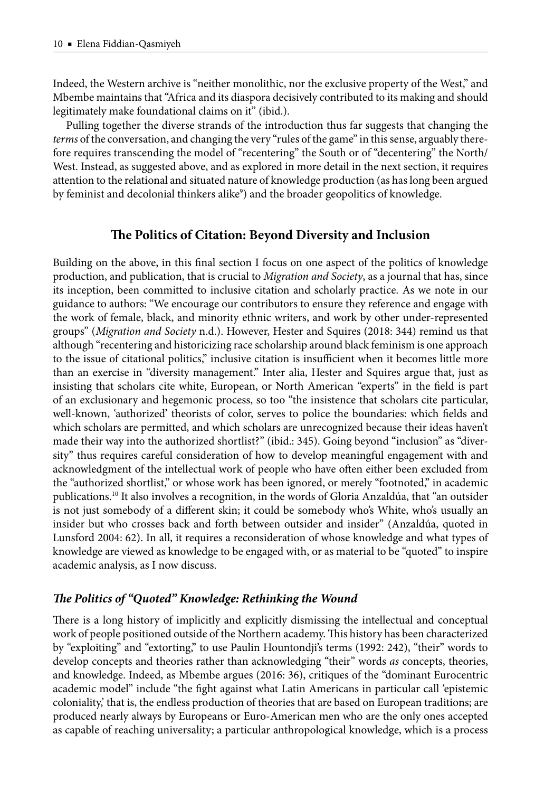Indeed, the Western archive is "neither monolithic, nor the exclusive property of the West," and Mbembe maintains that "Africa and its diaspora decisively contributed to its making and should legitimately make foundational claims on it" (ibid.).

Pulling together the diverse strands of the introduction thus far suggests that changing the *terms* of the conversation, and changing the very "rules of the game" in this sense, arguably therefore requires transcending the model of "recentering" the South or of "decentering" the North/ West. Instead, as suggested above, and as explored in more detail in the next section, it requires attention to the relational and situated nature of knowledge production (as has long been argued by feminist and decolonial thinkers alike<sup>9</sup>) and the broader geopolitics of knowledge.

### **The Politics of Citation: Beyond Diversity and Inclusion**

Building on the above, in this final section I focus on one aspect of the politics of knowledge production, and publication, that is crucial to *Migration and Society*, as a journal that has, since its inception, been committed to inclusive citation and scholarly practice. As we note in our guidance to authors: "We encourage our contributors to ensure they reference and engage with the work of female, black, and minority ethnic writers, and work by other under-represented groups" (*Migration and Society* n.d.). However, Hester and Squires (2018: 344) remind us that although "recentering and historicizing race scholarship around black feminism is one approach to the issue of citational politics," inclusive citation is insufficient when it becomes little more than an exercise in "diversity management." Inter alia, Hester and Squires argue that, just as insisting that scholars cite white, European, or North American "experts" in the field is part of an exclusionary and hegemonic process, so too "the insistence that scholars cite particular, well-known, 'authorized' theorists of color, serves to police the boundaries: which fields and which scholars are permitted, and which scholars are unrecognized because their ideas haven't made their way into the authorized shortlist?" (ibid.: 345). Going beyond "inclusion" as "diversity" thus requires careful consideration of how to develop meaningful engagement with and acknowledgment of the intellectual work of people who have often either been excluded from the "authorized shortlist," or whose work has been ignored, or merely "footnoted," in academic publications.10 It also involves a recognition, in the words of Gloria Anzaldúa, that "an outsider is not just somebody of a different skin; it could be somebody who's White, who's usually an insider but who crosses back and forth between outsider and insider" (Anzaldúa, quoted in Lunsford 2004: 62). In all, it requires a reconsideration of whose knowledge and what types of knowledge are viewed as knowledge to be engaged with, or as material to be "quoted" to inspire academic analysis, as I now discuss.

### The Politics of "Quoted" Knowledge: Rethinking the Wound

There is a long history of implicitly and explicitly dismissing the intellectual and conceptual work of people positioned outside of the Northern academy. This history has been characterized by "exploiting" and "extorting," to use Paulin Hountondji's terms (1992: 242), "their" words to develop concepts and theories rather than acknowledging "their" words *as* concepts, theories, and knowledge. Indeed, as Mbembe argues (2016: 36), critiques of the "dominant Eurocentric academic model" include "the fight against what Latin Americans in particular call 'epistemic coloniality,' that is, the endless production of theories that are based on European traditions; are produced nearly always by Europeans or Euro-American men who are the only ones accepted as capable of reaching universality; a particular anthropological knowledge, which is a process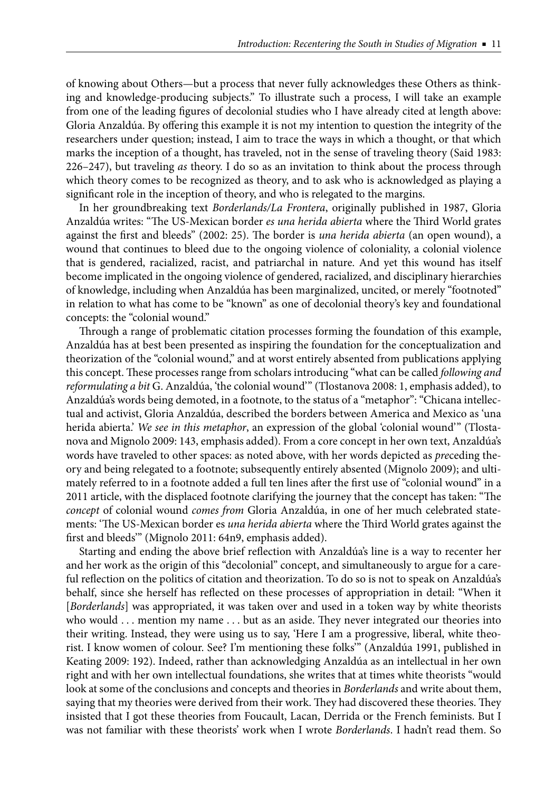of knowing about Others—but a process that never fully acknowledges these Others as thinking and knowledge-producing subjects." To illustrate such a process, I will take an example from one of the leading figures of decolonial studies who I have already cited at length above: Gloria Anzaldúa. By offering this example it is not my intention to question the integrity of the researchers under question; instead, I aim to trace the ways in which a thought, or that which marks the inception of a thought, has traveled, not in the sense of traveling theory (Said 1983: 226–247), but traveling *as* theory. I do so as an invitation to think about the process through which theory comes to be recognized as theory, and to ask who is acknowledged as playing a significant role in the inception of theory, and who is relegated to the margins.

In her groundbreaking text *Borderlands/La Frontera*, originally published in 1987, Gloria Anzaldúa writes: "The US-Mexican border *es una herida abierta* where the Third World grates against the first and bleeds" (2002: 25). The border is *una herida abierta* (an open wound), a wound that continues to bleed due to the ongoing violence of coloniality, a colonial violence that is gendered, racialized, racist, and patriarchal in nature. And yet this wound has itself become implicated in the ongoing violence of gendered, racialized, and disciplinary hierarchies of knowledge, including when Anzaldúa has been marginalized, uncited, or merely "footnoted" in relation to what has come to be "known" as one of decolonial theory's key and foundational concepts: the "colonial wound."

Through a range of problematic citation processes forming the foundation of this example, Anzaldúa has at best been presented as inspiring the foundation for the conceptualization and theorization of the "colonial wound," and at worst entirely absented from publications applying this concept. Th ese processes range from scholars introducing "what can be called *following and reformulating a bit* G. Anzaldúa, 'the colonial wound'" (Tlostanova 2008: 1, emphasis added), to Anzaldúa's words being demoted, in a footnote, to the status of a "metaphor": "Chicana intellectual and activist, Gloria Anzaldúa, described the borders between America and Mexico as 'una herida abierta.' *We see in this metaphor*, an expression of the global 'colonial wound'" (Tlostanova and Mignolo 2009: 143, emphasis added). From a core concept in her own text, Anzaldúa's words have traveled to other spaces: as noted above, with her words depicted as *pre*ceding theory and being relegated to a footnote; subsequently entirely absented (Mignolo 2009); and ultimately referred to in a footnote added a full ten lines after the first use of "colonial wound" in a 2011 article, with the displaced footnote clarifying the journey that the concept has taken: "The *concept* of colonial wound *comes from* Gloria Anzaldúa, in one of her much celebrated statements: 'The US-Mexican border es *una herida abierta* where the Third World grates against the first and bleeds" (Mignolo 2011: 64n9, emphasis added).

Starting and ending the above brief reflection with Anzaldúa's line is a way to recenter her and her work as the origin of this "decolonial" concept, and simultaneously to argue for a careful reflection on the politics of citation and theorization. To do so is not to speak on Anzaldúa's behalf, since she herself has reflected on these processes of appropriation in detail: "When it [*Borderlands*] was appropriated, it was taken over and used in a token way by white theorists who would  $\dots$  mention my name  $\dots$  but as an aside. They never integrated our theories into their writing. Instead, they were using us to say, 'Here I am a progressive, liberal, white theorist. I know women of colour. See? I'm mentioning these folks'" (Anzaldúa 1991, published in Keating 2009: 192). Indeed, rather than acknowledging Anzaldúa as an intellectual in her own right and with her own intellectual foundations, she writes that at times white theorists "would look at some of the conclusions and concepts and theories in *Borderlands* and write about them, saying that my theories were derived from their work. They had discovered these theories. They insisted that I got these theories from Foucault, Lacan, Derrida or the French feminists. But I was not familiar with these theorists' work when I wrote *Borderlands*. I hadn't read them. So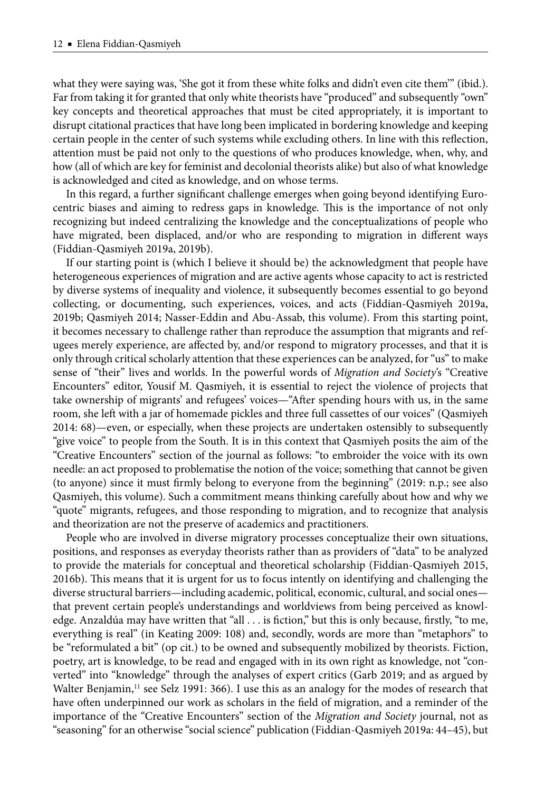what they were saying was, 'She got it from these white folks and didn't even cite them'" (ibid.). Far from taking it for granted that only white theorists have "produced" and subsequently "own" key concepts and theoretical approaches that must be cited appropriately, it is important to disrupt citational practices that have long been implicated in bordering knowledge and keeping certain people in the center of such systems while excluding others. In line with this reflection, attention must be paid not only to the questions of who produces knowledge, when, why, and how (all of which are key for feminist and decolonial theorists alike) but also of what knowledge is acknowledged and cited as knowledge, and on whose terms.

In this regard, a further significant challenge emerges when going beyond identifying Eurocentric biases and aiming to redress gaps in knowledge. This is the importance of not only recognizing but indeed centralizing the knowledge and the conceptualizations of people who have migrated, been displaced, and/or who are responding to migration in different ways (Fiddian-Qasmiyeh 2019a, 2019b).

If our starting point is (which I believe it should be) the acknowledgment that people have heterogeneous experiences of migration and are active agents whose capacity to act is restricted by diverse systems of inequality and violence, it subsequently becomes essential to go beyond collecting, or documenting, such experiences, voices, and acts (Fiddian-Qasmiyeh 2019a, 2019b; Qasmiyeh 2014; Nasser-Eddin and Abu-Assab, this volume). From this starting point, it becomes necessary to challenge rather than reproduce the assumption that migrants and refugees merely experience, are affected by, and/or respond to migratory processes, and that it is only through critical scholarly attention that these experiences can be analyzed, for "us" to make sense of "their" lives and worlds. In the powerful words of *Migration and Society*'s "Creative Encounters" editor, Yousif M. Qasmiyeh, it is essential to reject the violence of projects that take ownership of migrants' and refugees' voices—"After spending hours with us, in the same room, she left with a jar of homemade pickles and three full cassettes of our voices" (Qasmiyeh 2014: 68)—even, or especially, when these projects are undertaken ostensibly to subsequently "give voice" to people from the South. It is in this context that Qasmiyeh posits the aim of the "Creative Encounters" section of the journal as follows: "to embroider the voice with its own needle: an act proposed to problematise the notion of the voice; something that cannot be given (to anyone) since it must firmly belong to everyone from the beginning" (2019: n.p.; see also Qasmiyeh, this volume). Such a commitment means thinking carefully about how and why we "quote" migrants, refugees, and those responding to migration, and to recognize that analysis and theorization are not the preserve of academics and practitioners.

People who are involved in diverse migratory processes conceptualize their own situations, positions, and responses as everyday theorists rather than as providers of "data" to be analyzed to provide the materials for conceptual and theoretical scholarship (Fiddian-Qasmiyeh 2015, 2016b). This means that it is urgent for us to focus intently on identifying and challenging the diverse structural barriers—including academic, political, economic, cultural, and social ones that prevent certain people's understandings and worldviews from being perceived as knowledge. Anzaldúa may have written that "all  $\dots$  is fiction," but this is only because, firstly, "to me, everything is real" (in Keating 2009: 108) and, secondly, words are more than "metaphors" to be "reformulated a bit" (op cit.) to be owned and subsequently mobilized by theorists. Fiction, poetry, art is knowledge, to be read and engaged with in its own right as knowledge, not "converted" into "knowledge" through the analyses of expert critics (Garb 2019; and as argued by Walter Benjamin,<sup>11</sup> see Selz 1991: 366). I use this as an analogy for the modes of research that have often underpinned our work as scholars in the field of migration, and a reminder of the importance of the "Creative Encounters" section of the *Migration and Society* journal, not as "seasoning" for an otherwise "social science" publication (Fiddian-Qasmiyeh 2019a: 44–45), but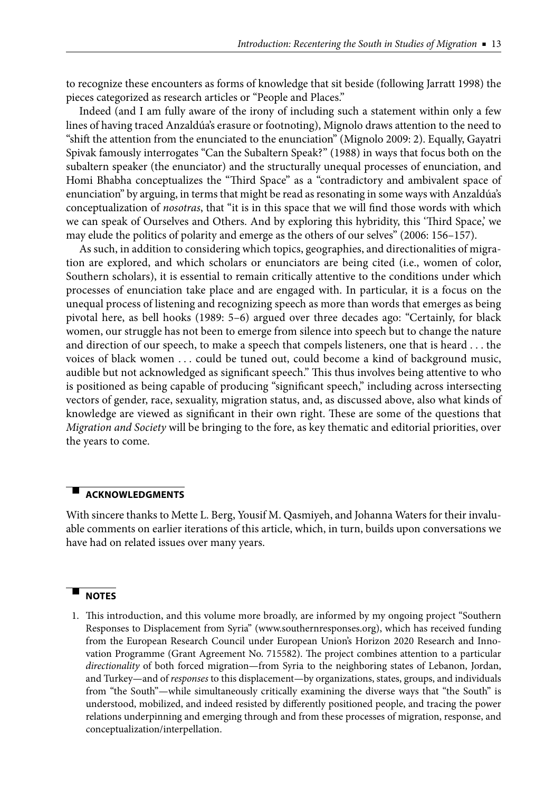to recognize these encounters as forms of knowledge that sit beside (following Jarratt 1998) the pieces categorized as research articles or "People and Places."

Indeed (and I am fully aware of the irony of including such a statement within only a few lines of having traced Anzaldúa's erasure or footnoting), Mignolo draws attention to the need to "shift the attention from the enunciated to the enunciation" (Mignolo 2009: 2). Equally, Gayatri Spivak famously interrogates "Can the Subaltern Speak?" (1988) in ways that focus both on the subaltern speaker (the enunciator) and the structurally unequal processes of enunciation, and Homi Bhabha conceptualizes the "Third Space" as a "contradictory and ambivalent space of enunciation" by arguing, in terms that might be read as resonating in some ways with Anzaldúa's conceptualization of *nosotras*, that "it is in this space that we will find those words with which we can speak of Ourselves and Others. And by exploring this hybridity, this 'Third Space,' we may elude the politics of polarity and emerge as the others of our selves" (2006: 156–157).

As such, in addition to considering which topics, geographies, and directionalities of migration are explored, and which scholars or enunciators are being cited (i.e., women of color, Southern scholars), it is essential to remain critically attentive to the conditions under which processes of enunciation take place and are engaged with. In particular, it is a focus on the unequal process of listening and recognizing speech as more than words that emerges as being pivotal here, as bell hooks (1989: 5–6) argued over three decades ago: "Certainly, for black women, our struggle has not been to emerge from silence into speech but to change the nature and direction of our speech, to make a speech that compels listeners, one that is heard . . . the voices of black women . . . could be tuned out, could become a kind of background music, audible but not acknowledged as significant speech." This thus involves being attentive to who is positioned as being capable of producing "significant speech," including across intersecting vectors of gender, race, sexuality, migration status, and, as discussed above, also what kinds of knowledge are viewed as significant in their own right. These are some of the questions that *Migration and Society* will be bringing to the fore, as key thematic and editorial priorities, over the years to come.

#### - **ACKNOWLEDGMENTS**

With sincere thanks to Mette L. Berg, Yousif M. Qasmiyeh, and Johanna Waters for their invaluable comments on earlier iterations of this article, which, in turn, builds upon conversations we have had on related issues over many years.

#### - **NOTES**

1. This introduction, and this volume more broadly, are informed by my ongoing project "Southern Responses to Displacement from Syria" (www.southernresponses.org), which has received funding from the European Research Council under European Union's Horizon 2020 Research and Innovation Programme (Grant Agreement No. 715582). The project combines attention to a particular *directionality* of both forced migration—from Syria to the neighboring states of Lebanon, Jordan, and Turkey—and of *responses* to this displacement—by organizations, states, groups, and individuals from "the South"—while simultaneously critically examining the diverse ways that "the South" is understood, mobilized, and indeed resisted by differently positioned people, and tracing the power relations underpinning and emerging through and from these processes of migration, response, and conceptualization/interpellation.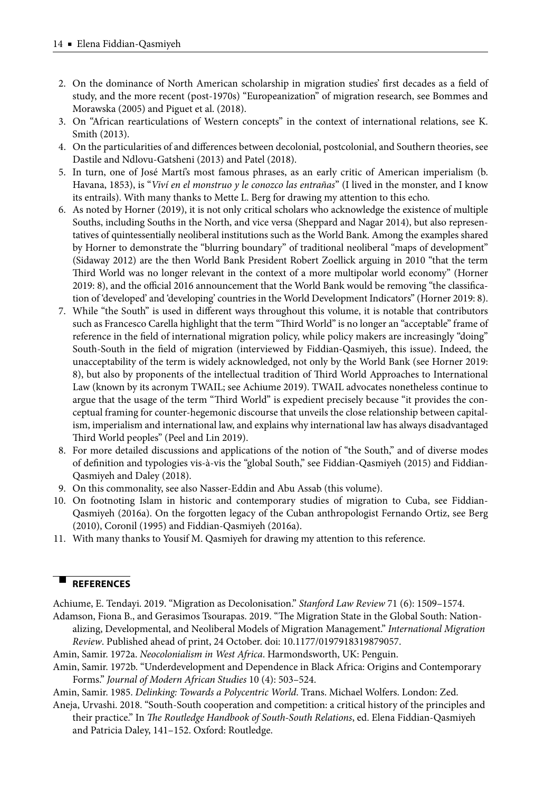- 2. On the dominance of North American scholarship in migration studies' first decades as a field of study, and the more recent (post-1970s) "Europeanization" of migration research, see Bommes and Morawska (2005) and Piguet et al. (2018).
- 3. On "African rearticulations of Western concepts" in the context of international relations, see K. Smith (2013).
- 4. On the particularities of and differences between decolonial, postcolonial, and Southern theories, see Dastile and Ndlovu-Gatsheni (2013) and Patel (2018).
- 5. In turn, one of José Martí's most famous phrases, as an early critic of American imperialism (b. Havana, 1853), is "*Viví en el monstruo y le conozco las entrañas*" (I lived in the monster, and I know its entrails). With many thanks to Mette L. Berg for drawing my attention to this echo.
- 6. As noted by Horner (2019), it is not only critical scholars who acknowledge the existence of multiple Souths, including Souths in the North, and vice versa (Sheppard and Nagar 2014), but also representatives of quintessentially neoliberal institutions such as the World Bank. Among the examples shared by Horner to demonstrate the "blurring boundary" of traditional neoliberal "maps of development" (Sidaway 2012) are the then World Bank President Robert Zoellick arguing in 2010 "that the term Third World was no longer relevant in the context of a more multipolar world economy" (Horner 2019: 8), and the official 2016 announcement that the World Bank would be removing "the classification of 'developed' and 'developing' countries in the World Development Indicators" (Horner 2019: 8).
- 7. While "the South" is used in different ways throughout this volume, it is notable that contributors such as Francesco Carella highlight that the term "Third World" is no longer an "acceptable" frame of reference in the field of international migration policy, while policy makers are increasingly "doing" South-South in the field of migration (interviewed by Fiddian-Qasmiyeh, this issue). Indeed, the unacceptability of the term is widely acknowledged, not only by the World Bank (see Horner 2019: 8), but also by proponents of the intellectual tradition of Third World Approaches to International Law (known by its acronym TWAIL; see Achiume 2019). TWAIL advocates nonetheless continue to argue that the usage of the term "Third World" is expedient precisely because "it provides the conceptual framing for counter-hegemonic discourse that unveils the close relationship between capitalism, imperialism and international law, and explains why international law has always disadvantaged Third World peoples" (Peel and Lin 2019).
- 8. For more detailed discussions and applications of the notion of "the South," and of diverse modes of definition and typologies vis-à-vis the "global South," see Fiddian-Qasmiyeh (2015) and Fiddian-Qasmiyeh and Daley (2018).
- 9. On this commonality, see also Nasser-Eddin and Abu Assab (this volume).
- 10. On footnoting Islam in historic and contemporary studies of migration to Cuba, see Fiddian-Qasmiyeh (2016a). On the forgotten legacy of the Cuban anthropologist Fernando Ortiz, see Berg (2010), Coronil (1995) and Fiddian-Qasmiyeh (2016a).
- 11. With many thanks to Yousif M. Qasmiyeh for drawing my attention to this reference.

#### - **REFERENCES**

Achiume, E. Tendayi. 2019. "Migration as Decolonisation." *Stanford Law Review* 71 (6): 1509–1574.

Adamson, Fiona B., and Gerasimos Tsourapas. 2019. "The Migration State in the Global South: Nationalizing, Developmental, and Neoliberal Models of Migration Management." *International Migration Review*. Published ahead of print, 24 October. doi: 10.1177/0197918319879057.

Amin, Samir. 1972a. *Neocolonialism in West Africa*. Harmondsworth, UK: Penguin.

Amin, Samir. 1972b. "Underdevelopment and Dependence in Black Africa: Origins and Contemporary Forms." *Journal of Modern African Studies* 10 (4): 503–524.

Amin, Samir. 1985. *Delinking: Towards a Polycentric World*. Trans. Michael Wolfers. London: Zed.

Aneja, Urvashi. 2018. "South-South cooperation and competition: a critical history of the principles and their practice." In *The Routledge Handbook of South-South Relations*, ed. Elena Fiddian-Qasmiyeh and Patricia Daley, 141–152. Oxford: Routledge.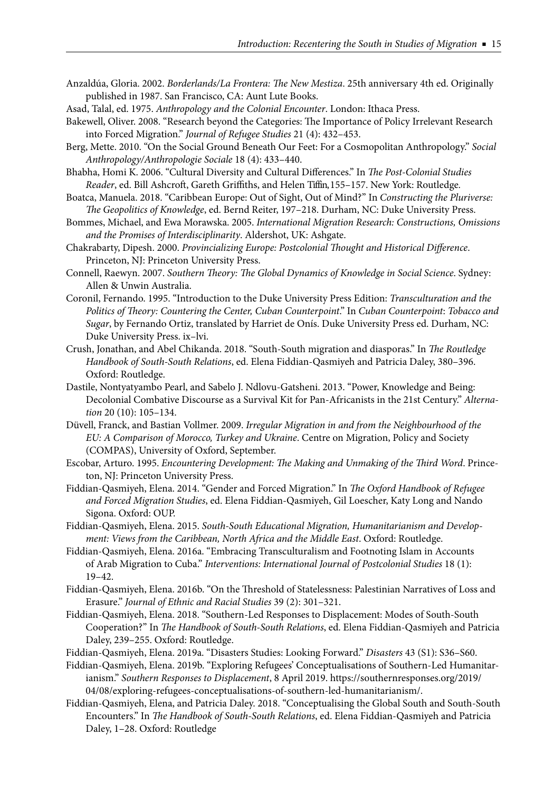Anzaldúa, Gloria. 2002. *Borderlands/La Frontera: The New Mestiza*. 25th anniversary 4th ed. Originally published in 1987. San Francisco, CA: Aunt Lute Books.

Asad, Talal, ed. 1975. *Anthropology and the Colonial Encounter*. London: Ithaca Press.

- Bakewell, Oliver. 2008. "Research beyond the Categories: The Importance of Policy Irrelevant Research into Forced Migration." *Journal of Refugee Studies* 21 (4): 432–453.
- Berg, Mette. 2010. "On the Social Ground Beneath Our Feet: For a Cosmopolitan Anthropology." *Social Anthropology/Anthropologie Sociale* 18 (4): 433–440.
- Bhabha, Homi K. 2006. "Cultural Diversity and Cultural Differences." In *The Post-Colonial Studies* Reader, ed. Bill Ashcroft, Gareth Griffiths, and Helen Tiffin, 155-157. New York: Routledge.
- Boatca, Manuela. 2018. "Caribbean Europe: Out of Sight, Out of Mind?" In *Constructing the Pluriverse:*  The Geopolitics of Knowledge, ed. Bernd Reiter, 197-218. Durham, NC: Duke University Press.
- Bommes, Michael, and Ewa Morawska. 2005. *International Migration Research: Constructions, Omissions and the Promises of Interdisciplinarity*. Aldershot, UK: Ashgate.
- Chakrabarty, Dipesh. 2000. Provincializing Europe: Postcolonial Thought and Historical Difference. Princeton, NJ: Princeton University Press.
- Connell, Raewyn. 2007. Southern Theory: The Global Dynamics of Knowledge in Social Science. Sydney: Allen & Unwin Australia.
- Coronil, Fernando. 1995. "Introduction to the Duke University Press Edition: *Transculturation and the Politics of Th eory: Countering the Center, Cuban Counterpoint*." In *Cuban Counterpoint*: *Tobacco and Sugar*, by Fernando Ortiz, translated by Harriet de Onís. Duke University Press ed. Durham, NC: Duke University Press. ix–lvi.
- Crush, Jonathan, and Abel Chikanda. 2018. "South-South migration and diasporas." In *The Routledge Handbook of South-South Relations*, ed. Elena Fiddian-Qasmiyeh and Patricia Daley, 380–396. Oxford: Routledge.
- Dastile, Nontyatyambo Pearl, and Sabelo J. Ndlovu-Gatsheni. 2013. "Power, Knowledge and Being: Decolonial Combative Discourse as a Survival Kit for Pan-Africanists in the 21st Century." *Alternation* 20 (10): 105–134.
- Düvell, Franck, and Bastian Vollmer. 2009. *Irregular Migration in and from the Neighbourhood of the EU: A Comparison of Morocco, Turkey and Ukraine*. Centre on Migration, Policy and Society (COMPAS), University of Oxford, September.
- Escobar, Arturo. 1995. *Encountering Development: The Making and Unmaking of the Third Word*. Princeton, NJ: Princeton University Press.
- Fiddian-Qasmiyeh, Elena. 2014. "Gender and Forced Migration." In *The Oxford Handbook of Refugee and Forced Migration Studies*, ed. Elena Fiddian-Qasmiyeh, Gil Loescher, Katy Long and Nando Sigona. Oxford: OUP.
- Fiddian-Qasmiyeh, Elena. 2015. *South-South Educational Migration, Humanitarianism and Development: Views from the Caribbean, North Africa and the Middle East*. Oxford: Routledge.
- Fiddian-Qasmiyeh, Elena. 2016a. "Embracing Transculturalism and Footnoting Islam in Accounts of Arab Migration to Cuba." *Interventions: International Journal of Postcolonial Studies* 18 (1): 19–42.
- Fiddian-Qasmiyeh, Elena. 2016b. "On the Threshold of Statelessness: Palestinian Narratives of Loss and Erasure." *Journal of Ethnic and Racial Studies* 39 (2): 301–321.
- Fiddian-Qasmiyeh, Elena. 2018. "Southern-Led Responses to Displacement: Modes of South-South Cooperation?" In *The Handbook of South-South Relations*, ed. Elena Fiddian-Qasmiyeh and Patricia Daley, 239–255. Oxford: Routledge.
- Fiddian-Qasmiyeh, Elena. 2019a. "Disasters Studies: Looking Forward." *Disasters* 43 (S1): S36–S60.
- Fiddian-Qasmiyeh, Elena. 2019b. "Exploring Refugees' Conceptualisations of Southern-Led Humanitarianism." *Southern Responses to Displacement*, 8 April 2019. https://southernresponses.org/2019/ 04/08/exploring-refugees-conceptualisations-of-southern-led-humanitarianism/.
- Fiddian-Qasmiyeh, Elena, and Patricia Daley. 2018. "Conceptualising the Global South and South-South Encounters." In *The Handbook of South-South Relations*, ed. Elena Fiddian-Qasmiyeh and Patricia Daley, 1–28. Oxford: Routledge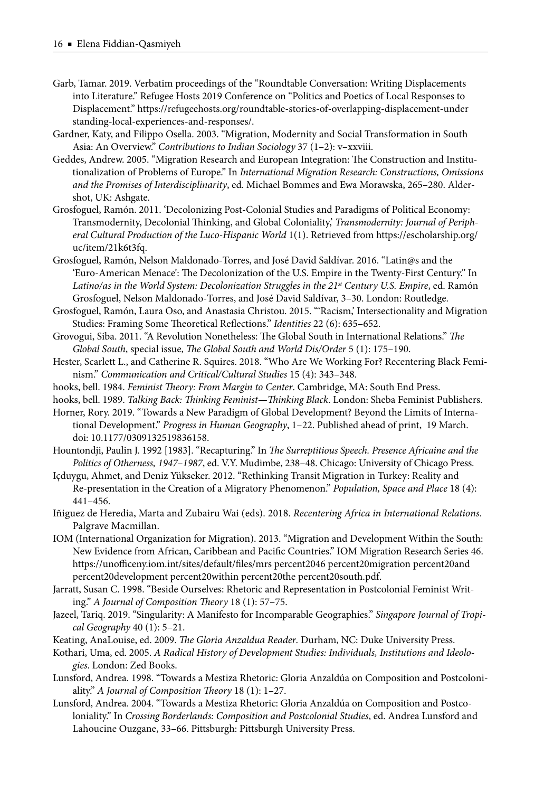- Garb, Tamar. 2019. Verbatim proceedings of the "Roundtable Conversation: Writing Displacements into Literature." Refugee Hosts 2019 Conference on "Politics and Poetics of Local Responses to Displacement." https://refugeehosts.org/roundtable-stories-of-overlapping-displacement-under standing-local-experiences-and-responses/.
- Gardner, Katy, and Filippo Osella. 2003. "Migration, Modernity and Social Transformation in South Asia: An Overview." *Contributions to Indian Sociology* 37 (1–2): v–xxviii.
- Geddes, Andrew. 2005. "Migration Research and European Integration: The Construction and Institutionalization of Problems of Europe." In *International Migration Research: Constructions, Omissions and the Promises of Interdisciplinarity*, ed. Michael Bommes and Ewa Morawska, 265–280. Aldershot, UK: Ashgate.
- Grosfoguel, Ramón. 2011. 'Decolonizing Post-Colonial Studies and Paradigms of Political Economy: Transmodernity, Decolonial Thinking, and Global Coloniality,' Transmodernity: Journal of Periph*eral Cultural Production of the Luco-Hispanic World* 1(1). Retrieved from https://escholarship.org/ uc/item/21k6t3fq.
- Grosfoguel, Ramón, Nelson Maldonado-Torres, and José David Saldívar. 2016. "Latin@s and the 'Euro-American Menace': The Decolonization of the U.S. Empire in the Twenty-First Century." In Latino/as in the World System: Decolonization Struggles in the 21<sup>st</sup> Century U.S. Empire, ed. Ramón Grosfoguel, Nelson Maldonado-Torres, and José David Saldívar, 3–30. London: Routledge.
- Grosfoguel, Ramón, Laura Oso, and Anastasia Christou. 2015. "'Racism,' Intersectionality and Migration Studies: Framing Some Theoretical Reflections." *Identities* 22 (6): 635-652.
- Grovogui, Siba. 2011. "A Revolution Nonetheless: The Global South in International Relations." The *Global South, special issue, The Global South and World Dis/Order 5 (1): 175-190.*
- Hester, Scarlett L., and Catherine R. Squires. 2018. "Who Are We Working For? Recentering Black Feminism." *Communication and Critical/Cultural Studies* 15 (4): 343–348.
- hooks, bell. 1984. *Feminist Theory: From Margin to Center*. Cambridge, MA: South End Press.
- hooks, bell. 1989. *Talking Back: Th inking Feminist—Th inking Black*. London: Sheba Feminist Publishers.
- Horner, Rory. 2019. "Towards a New Paradigm of Global Development? Beyond the Limits of International Development." *Progress in Human Geography*, 1–22. Published ahead of print, 19 March. doi: 10.1177/0309132519836158.
- Hountondji, Paulin J. 1992 [1983]. "Recapturing." In *The Surreptitious Speech. Presence Africaine and the Politics of Otherness, 1947–1987*, ed. V.Y. Mudimbe, 238–48. Chicago: University of Chicago Press.
- Içduygu, Ahmet, and Deniz Yükseker. 2012. "Rethinking Transit Migration in Turkey: Reality and Re-presentation in the Creation of a Migratory Phenomenon." *Population, Space and Place* 18 (4): 441–456.
- Iñiguez de Heredia, Marta and Zubairu Wai (eds). 2018. *Recentering Africa in International Relations*. Palgrave Macmillan.
- IOM (International Organization for Migration). 2013. "Migration and Development Within the South: New Evidence from African, Caribbean and Pacific Countries." IOM Migration Research Series 46. https://unofficeny.iom.int/sites/default/files/mrs percent2046 percent20migration percent20and percent20development percent20within percent20the percent20south.pdf.
- Jarratt, Susan C. 1998. "Beside Ourselves: Rhetoric and Representation in Postcolonial Feminist Writing." A Journal of Composition Theory 18 (1): 57-75.
- Jazeel, Tariq. 2019. "Singularity: A Manifesto for Incomparable Geographies." *Singapore Journal of Tropical Geography* 40 (1): 5–21.
- Keating, AnaLouise, ed. 2009. *The Gloria Anzaldua Reader*. Durham, NC: Duke University Press.
- Kothari, Uma, ed. 2005. *A Radical History of Development Studies: Individuals, Institutions and Ideologies*. London: Zed Books.
- Lunsford, Andrea. 1998. "Towards a Mestiza Rhetoric: Gloria Anzaldúa on Composition and Postcoloniality." *A Journal of Composition Theory* 18 (1): 1-27.
- Lunsford, Andrea. 2004. "Towards a Mestiza Rhetoric: Gloria Anzaldúa on Composition and Postcoloniality." In *Crossing Borderlands: Composition and Postcolonial Studies*, ed. Andrea Lunsford and Lahoucine Ouzgane, 33–66. Pittsburgh: Pittsburgh University Press.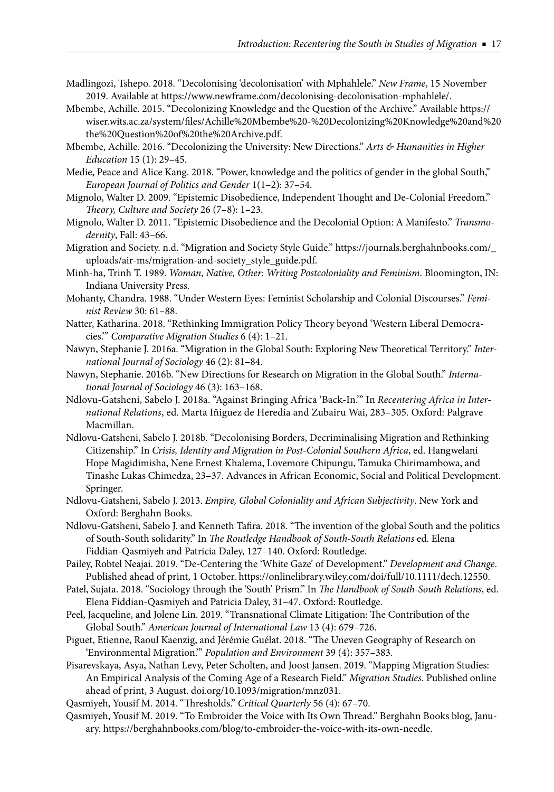- Madlingozi, Tshepo. 2018. "Decolonising 'decolonisation' with Mphahlele." *New Frame*, 15 November 2019. Available at https://www.newframe.com/decolonising-decolonisation-mphahlele/.
- Mbembe, Achille. 2015. "Decolonizing Knowledge and the Question of the Archive." Available https:// wiser.wits.ac.za/system/files/Achille%20Mbembe%20-%20Decolonizing%20Knowledge%20and%20 the%20Question%20of%20the%20Archive.pdf.
- Mbembe, Achille. 2016. "Decolonizing the University: New Directions." *Arts & Humanities in Higher Education* 15 (1): 29–45.
- Medie, Peace and Alice Kang. 2018. "Power, knowledge and the politics of gender in the global South," *European Journal of Politics and Gender* 1(1–2): 37–54.
- Mignolo, Walter D. 2009. "Epistemic Disobedience, Independent Thought and De-Colonial Freedom." *Th eory, Culture and Society* 26 (7–8): 1–23.
- Mignolo, Walter D. 2011. "Epistemic Disobedience and the Decolonial Option: A Manifesto." *Transmodernity*, Fall: 43–66.
- Migration and Society. n.d. "Migration and Society Style Guide." https://journals.berghahnbooks.com/\_ uploads/air-ms/migration-and-society\_style\_guide.pdf.
- Minh-ha, Trinh T. 1989. *Woman, Native, Other: Writing Postcoloniality and Feminism*. Bloomington, IN: Indiana University Press.
- Mohanty, Chandra. 1988. "Under Western Eyes: Feminist Scholarship and Colonial Discourses." *Feminist Review* 30: 61–88.
- Natter, Katharina. 2018. "Rethinking Immigration Policy Theory beyond 'Western Liberal Democracies.'" *Comparative Migration Studies* 6 (4): 1–21.
- Nawyn, Stephanie J. 2016a. "Migration in the Global South: Exploring New Theoretical Territory." Inter*national Journal of Sociology* 46 (2): 81–84.
- Nawyn, Stephanie. 2016b. "New Directions for Research on Migration in the Global South." *International Journal of Sociology* 46 (3): 163–168.
- Ndlovu-Gatsheni, Sabelo J. 2018a. "Against Bringing Africa 'Back-In.'" In *Recentering Africa in International Relations*, ed. Marta Iñiguez de Heredia and Zubairu Wai, 283–305. Oxford: Palgrave Macmillan.
- Ndlovu-Gatsheni, Sabelo J. 2018b. "Decolonising Borders, Decriminalising Migration and Rethinking Citizenship." In *Crisis, Identity and Migration in Post-Colonial Southern Africa*, ed. Hangwelani Hope Magidimisha, Nene Ernest Khalema, Lovemore Chipungu, Tamuka Chirimambowa, and Tinashe Lukas Chimedza, 23–37. Advances in African Economic, Social and Political Development. Springer.
- Ndlovu-Gatsheni, Sabelo J. 2013. *Empire, Global Coloniality and African Subjectivity*. New York and Oxford: Berghahn Books.
- Ndlovu-Gatsheni, Sabelo J. and Kenneth Tafira. 2018. "The invention of the global South and the politics of South-South solidarity." In *The Routledge Handbook of South-South Relations* ed. Elena Fiddian-Qasmiyeh and Patricia Daley, 127–140. Oxford: Routledge.
- Pailey, Robtel Neajai. 2019. "De-Centering the 'White Gaze' of Development." *Development and Change*. Published ahead of print, 1 October. https://onlinelibrary.wiley.com/doi/full/10.1111/dech.12550.
- Patel, Sujata. 2018. "Sociology through the 'South' Prism." In *The Handbook of South-South Relations*, ed. Elena Fiddian-Qasmiyeh and Patricia Daley, 31–47. Oxford: Routledge.
- Peel, Jacqueline, and Jolene Lin. 2019. "Transnational Climate Litigation: The Contribution of the Global South." *American Journal of International Law* 13 (4): 679–726.
- Piguet, Etienne, Raoul Kaenzig, and Jérémie Guélat. 2018. "The Uneven Geography of Research on 'Environmental Migration.'" *Population and Environment* 39 (4): 357–383.
- Pisarevskaya, Asya, Nathan Levy, Peter Scholten, and Joost Jansen. 2019 . "Mapping Migration Studies: An Empirical Analysis of the Coming Age of a Research Field." *Migration Studies*. Published online ahead of print, 3 August. doi.org/10.1093/migration/mnz031.
- Qasmiyeh, Yousif M. 2014. "Th resholds." *Critical Quarterly* 56 (4): 67–70.
- Qasmiyeh, Yousif M. 2019. "To Embroider the Voice with Its Own Thread." Berghahn Books blog, January. https://berghahnbooks.com/blog/to-embroider-the-voice-with-its-own-needle.